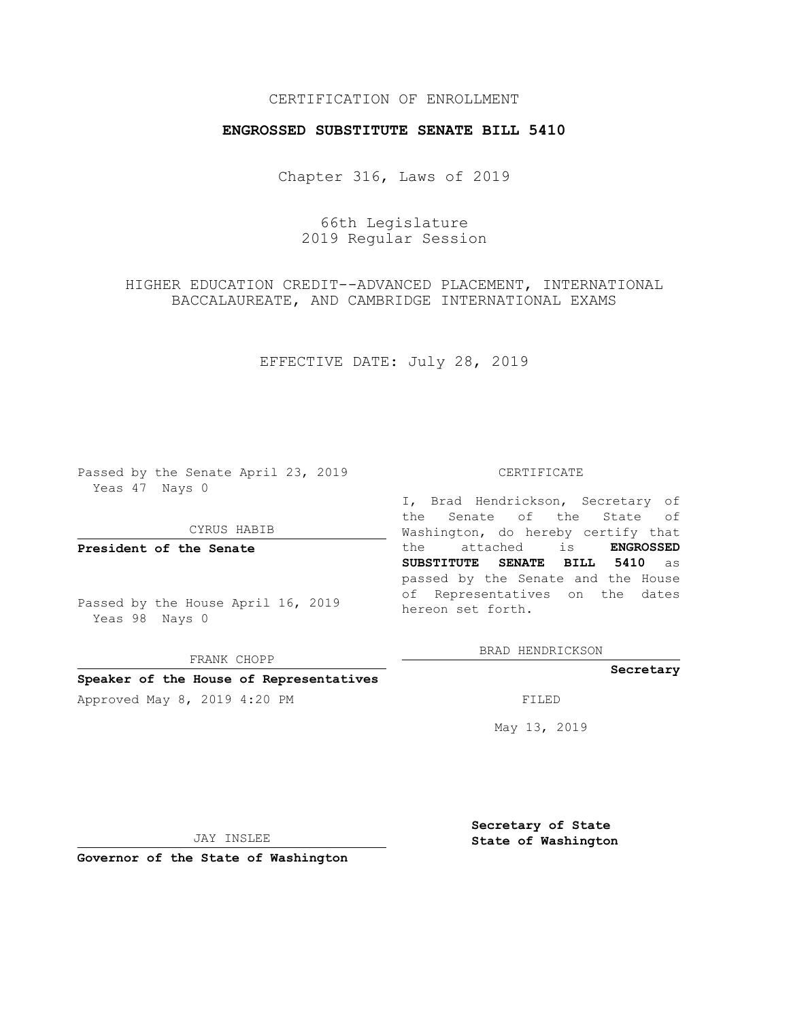# CERTIFICATION OF ENROLLMENT

## **ENGROSSED SUBSTITUTE SENATE BILL 5410**

Chapter 316, Laws of 2019

66th Legislature 2019 Regular Session

HIGHER EDUCATION CREDIT--ADVANCED PLACEMENT, INTERNATIONAL BACCALAUREATE, AND CAMBRIDGE INTERNATIONAL EXAMS

EFFECTIVE DATE: July 28, 2019

Passed by the Senate April 23, 2019 Yeas 47 Nays 0

CYRUS HABIB

**President of the Senate**

Passed by the House April 16, 2019 Yeas 98 Nays 0

FRANK CHOPP

### **Speaker of the House of Representatives**

Approved May 8, 2019 4:20 PM

#### CERTIFICATE

I, Brad Hendrickson, Secretary of the Senate of the State of Washington, do hereby certify that the attached is **ENGROSSED SUBSTITUTE SENATE BILL 5410** as passed by the Senate and the House of Representatives on the dates hereon set forth.

BRAD HENDRICKSON

## **Secretary**

May 13, 2019

JAY INSLEE

**Governor of the State of Washington**

**Secretary of State State of Washington**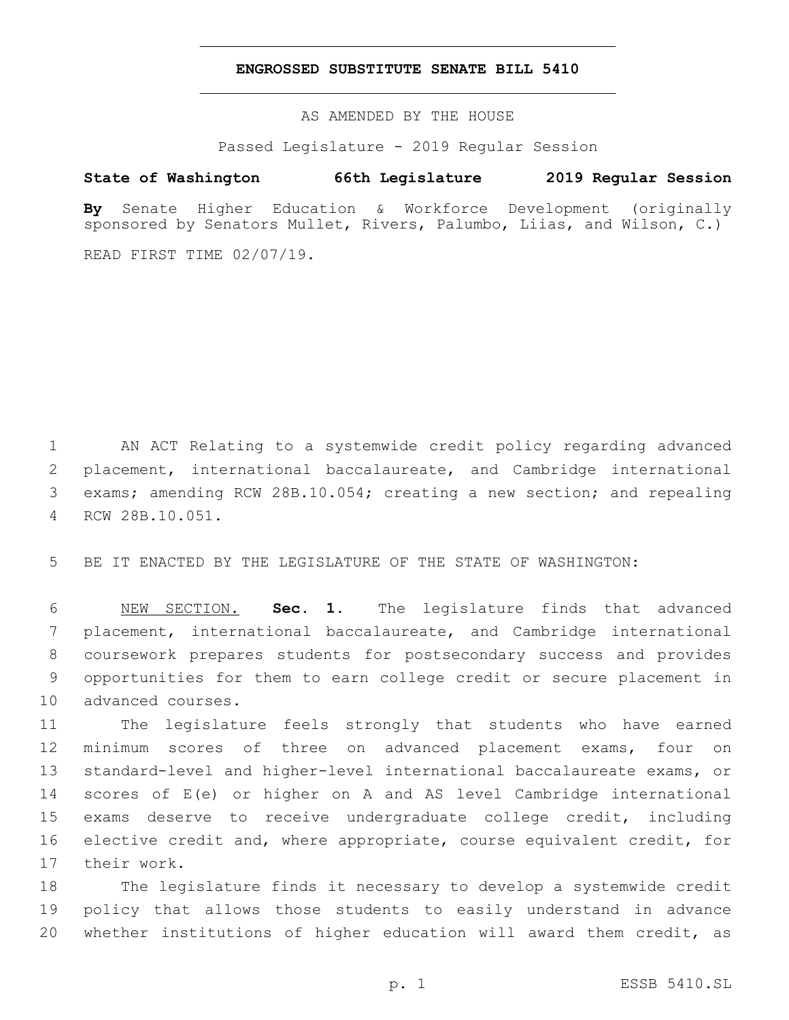## **ENGROSSED SUBSTITUTE SENATE BILL 5410**

AS AMENDED BY THE HOUSE

Passed Legislature - 2019 Regular Session

# **State of Washington 66th Legislature 2019 Regular Session**

**By** Senate Higher Education & Workforce Development (originally sponsored by Senators Mullet, Rivers, Palumbo, Liias, and Wilson, C.)

READ FIRST TIME 02/07/19.

 AN ACT Relating to a systemwide credit policy regarding advanced placement, international baccalaureate, and Cambridge international exams; amending RCW 28B.10.054; creating a new section; and repealing RCW 28B.10.051.4

BE IT ENACTED BY THE LEGISLATURE OF THE STATE OF WASHINGTON:

 NEW SECTION. **Sec. 1.** The legislature finds that advanced placement, international baccalaureate, and Cambridge international coursework prepares students for postsecondary success and provides opportunities for them to earn college credit or secure placement in advanced courses.

 The legislature feels strongly that students who have earned minimum scores of three on advanced placement exams, four on standard-level and higher-level international baccalaureate exams, or scores of E(e) or higher on A and AS level Cambridge international exams deserve to receive undergraduate college credit, including elective credit and, where appropriate, course equivalent credit, for 17 their work.

 The legislature finds it necessary to develop a systemwide credit policy that allows those students to easily understand in advance whether institutions of higher education will award them credit, as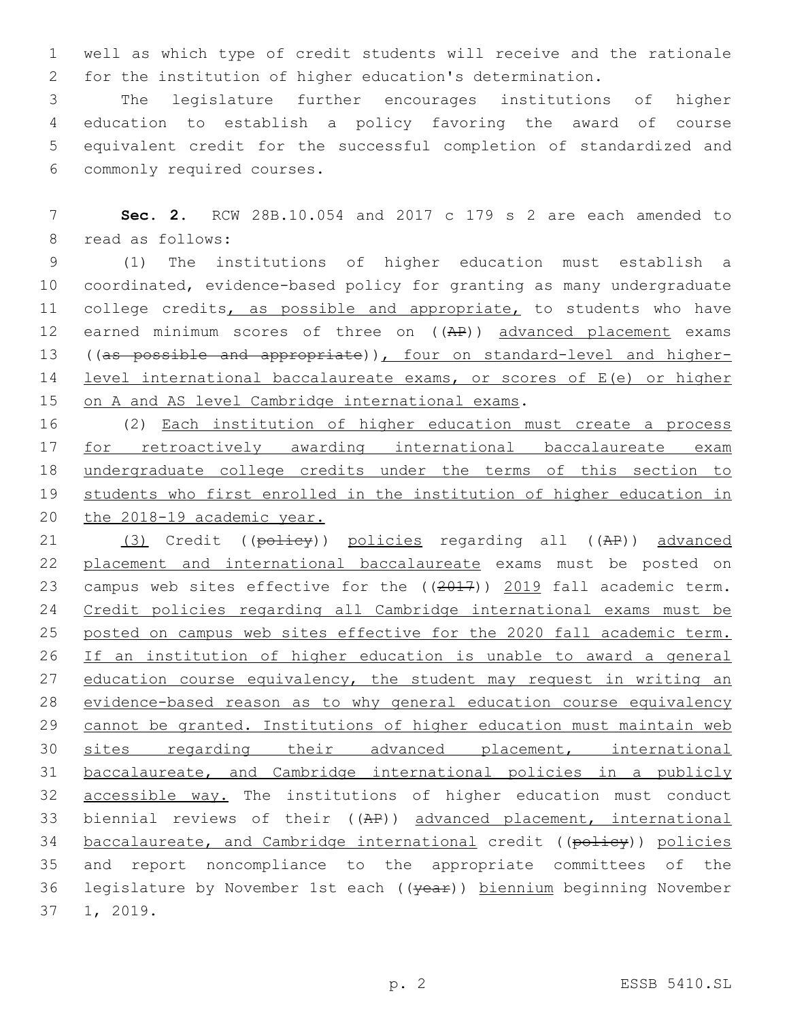1 well as which type of credit students will receive and the rationale 2 for the institution of higher education's determination.

 The legislature further encourages institutions of higher education to establish a policy favoring the award of course equivalent credit for the successful completion of standardized and commonly required courses.6

7 **Sec. 2.** RCW 28B.10.054 and 2017 c 179 s 2 are each amended to 8 read as follows:

9 (1) The institutions of higher education must establish a 10 coordinated, evidence-based policy for granting as many undergraduate 11 college credits, as possible and appropriate, to students who have 12 earned minimum scores of three on ((AP)) advanced placement exams 13 ((as possible and appropriate)), four on standard-level and higher-14 level international baccalaureate exams, or scores of E(e) or higher 15 on A and AS level Cambridge international exams.

 (2) Each institution of higher education must create a process for retroactively awarding international baccalaureate exam undergraduate college credits under the terms of this section to students who first enrolled in the institution of higher education in 20 the 2018-19 academic year.

21 (3) Credit ((policy)) policies regarding all ((AP)) advanced 22 placement and international baccalaureate exams must be posted on 23 campus web sites effective for the ((2017)) 2019 fall academic term. 24 Credit policies regarding all Cambridge international exams must be 25 posted on campus web sites effective for the 2020 fall academic term. 26 If an institution of higher education is unable to award a general 27 education course equivalency, the student may request in writing an 28 evidence-based reason as to why general education course equivalency 29 cannot be granted. Institutions of higher education must maintain web 30 sites regarding their advanced placement, international 31 baccalaureate, and Cambridge international policies in a publicly 32 accessible way. The institutions of higher education must conduct 33 biennial reviews of their ((AP)) advanced placement, international 34 baccalaureate, and Cambridge international credit ((policy)) policies 35 and report noncompliance to the appropriate committees of the 36 legislature by November 1st each ((year)) biennium beginning November 37 1, 2019.